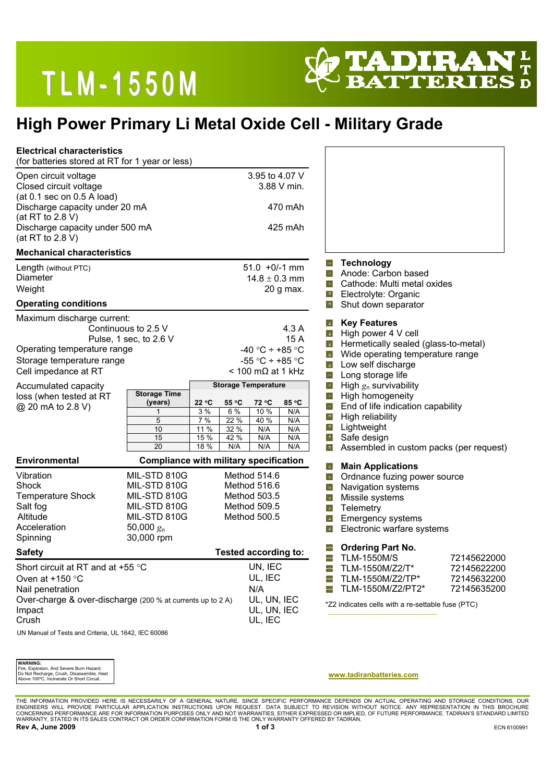# **TLM-1550M**



## **High Power Primary Li Metal Oxide Cell - Military Grade**

| <b>Electrical characteristics</b><br>(for batteries stored at RT for 1 year or less)                                                                                                                                    |                                                                                                            |                                                                                                                                                                                                         |                                                            |                                                                                                                                                                                |                                                          |
|-------------------------------------------------------------------------------------------------------------------------------------------------------------------------------------------------------------------------|------------------------------------------------------------------------------------------------------------|---------------------------------------------------------------------------------------------------------------------------------------------------------------------------------------------------------|------------------------------------------------------------|--------------------------------------------------------------------------------------------------------------------------------------------------------------------------------|----------------------------------------------------------|
| Open circuit voltage<br>Closed circuit voltage<br>(at 0.1 sec on 0.5 A load)<br>Discharge capacity under 20 mA<br>(at RT to 2.8 V)<br>Discharge capacity under 500 mA<br>(at RT to 2.8 V)                               |                                                                                                            | 3.95 to 4.07 V<br>3.88 V min.<br>470 mAh<br>425 mAh                                                                                                                                                     |                                                            |                                                                                                                                                                                |                                                          |
| <b>Mechanical characteristics</b>                                                                                                                                                                                       |                                                                                                            |                                                                                                                                                                                                         |                                                            |                                                                                                                                                                                |                                                          |
| Length (without PTC)<br><b>Diameter</b><br>Weight<br><b>Operating conditions</b>                                                                                                                                        |                                                                                                            | $51.0 + 0/-1$ mm<br>$14.8 \pm 0.3$ mm<br>20 g max.                                                                                                                                                      | 車<br>H.<br>ቀ<br>車                                          | <b>Technology</b><br>Anode: Carbon based<br>Cathode: Multi metal oxides<br>Electrolyte: Organic<br>Shut down separator                                                         |                                                          |
| Maximum discharge current:<br>Continuous to 2.5 V<br>Pulse, 1 sec, to 2.6 V<br>Operating temperature range<br>Storage temperature range<br>Cell impedance at RT                                                         |                                                                                                            | 4.3A<br>15 A<br>-40 °C ÷ +85 °C<br>-55 °C ÷ +85 °C<br>$<$ 100 m $\Omega$ at 1 kHz                                                                                                                       | +⊦<br>ψ.<br>-11<br>-4<br>4<br>4                            | <b>Key Features</b><br>High power 4 V cell<br>Hermetically sealed (glass-to-metal)<br>Wide operating temperature range<br>Low self discharge<br>Long storage life              |                                                          |
| Accumulated capacity<br>loss (when tested at RT<br>@ 20 mA to 2.8 V)                                                                                                                                                    | <b>Storage Time</b><br>22 °C<br>(years)<br>1<br>5<br>$10$<br>15<br>20                                      | <b>Storage Temperature</b><br>55 °C<br>72 °C<br>85 °C<br>3%<br>6 %<br>10 %<br>N/A<br>7%<br>22 %<br>40 %<br>N/A<br>11 %<br>32 %<br>N/A<br>N/A<br>15 %<br>42 %<br>N/A<br>N/A<br>18 %<br>N/A<br>N/A<br>N/A | 4<br>4<br>$\blacksquare$<br>4<br>-ቀ<br>$-\frac{1}{2}$<br>車 | High $g_n$ survivability<br>High homogeneity<br>End of life indication capability<br>High reliability<br>Lightweight<br>Safe design<br>Assembled in custom packs (per request) |                                                          |
| <b>Environmental</b><br><b>Compliance with military specification</b>                                                                                                                                                   |                                                                                                            |                                                                                                                                                                                                         | ų.                                                         | <b>Main Applications</b>                                                                                                                                                       |                                                          |
| Vibration<br>Shock<br><b>Temperature Shock</b><br>Salt fog<br>Altitude<br>Acceleration<br>Spinning                                                                                                                      | MIL-STD 810G<br>MIL-STD 810G<br>MIL-STD 810G<br>MIL-STD 810G<br>MIL-STD 810G<br>50,000 $g_n$<br>30,000 rpm | Method 514.6<br>Method 516.6<br>Method 503.5<br>Method 509.5<br>Method 500.5                                                                                                                            | 41<br>-4<br>-4<br>4<br>- 1<br>-4                           | Ordnance fuzing power source<br>Navigation systems<br>Missile systems<br>Telemetry<br>Emergency systems<br>Electronic warfare systems                                          |                                                          |
| <b>Safety</b>                                                                                                                                                                                                           |                                                                                                            | <b>Tested according to:</b>                                                                                                                                                                             |                                                            | <b>Ordering Part No.</b>                                                                                                                                                       |                                                          |
| Short circuit at RT and at +55 °C<br>Oven at $+150$ °C<br>Nail penetration<br>Over-charge & over-discharge (200 % at currents up to 2 A)<br>Impact<br>Crush<br><b>UN Manual of Tosts and Critoria UL 1642 JEC 60086</b> |                                                                                                            | UN, IEC<br>UL, IEC<br>N/A<br>UL, UN, IEC<br>UL, UN, IEC<br>UL, IEC                                                                                                                                      | 車<br>L.<br>Н.<br>÷                                         | <b>TLM-1550M/S</b><br>TLM-1550M/Z2/T*<br>TLM-1550M/Z2/TP*<br>TLM-1550M/Z2/PT2*<br>*Z2 indicates cells with a re-settable fuse (PTC)                                            | 72145622000<br>72145622200<br>72145632200<br>72145635200 |

UN Manual of Tests and Criteria, UL 1642, IEC 60086

| <b>WARNING:</b>                           |  |  |  |  |
|-------------------------------------------|--|--|--|--|
| Fire, Explosion, And Severe Burn Hazard.  |  |  |  |  |
| Do Not Recharge, Crush, Disassemble, Heat |  |  |  |  |
| Above 100°C. Incinerate Or Short Circuit. |  |  |  |  |

#### **www.tadiranbatteries.com**

THE INFORMATION PROVIDED HERE IS NECESSARILY OF A GENERAL NATURE. SINCE SPECIFIC PERFORMANCE DEPENDS ON ACTUAL OPERATING AND STORAGE CONDITIONS, OUR<br>ENGINEERS WILL PROVIDE PARTICULAR APPLICATION INSTRUCTEDNS UPON REQUEST T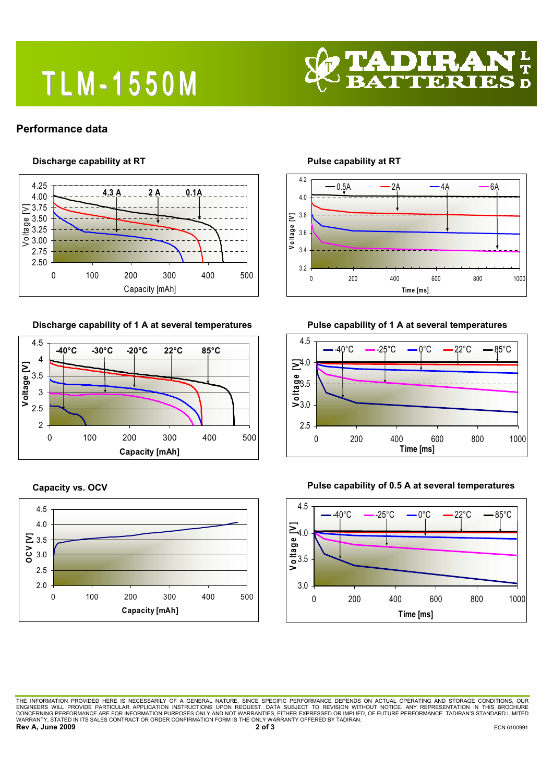# **TLM-1550M**



### **Performance data**

### **Discharge capability at RT**



**Discharge capability of 1 A at several temperatures** 



**Capacity vs. OCV** 



**Pulse capability at RT** 



**Pulse capability of 1 A at several temperatures** 







**Pulse capability of 0.5 A at several temperatures** 

THE INFORMATION PROVIDED HERE IS NECESSARILY OF A GENERAL NATURE. SINCE SPECIFIC PERFORMANCE DEPENDS ON ACTUAL OPERATING AND STORAGE CONDITIONS, OUR<br>ENGINEERS WILL PROVIDE PARTICULAR APPLICATION INSTRUCTIONS UPON REQUEST. WARRANTY, STATED IN ITS SALES CONTRACT OR ORDER CONFIRMATION FORM IS THE ONLY WARRANTY OFFERED BY TADIRAN. **Rev A, June 2009** 2009 **2 of 3 ECN 6100991**